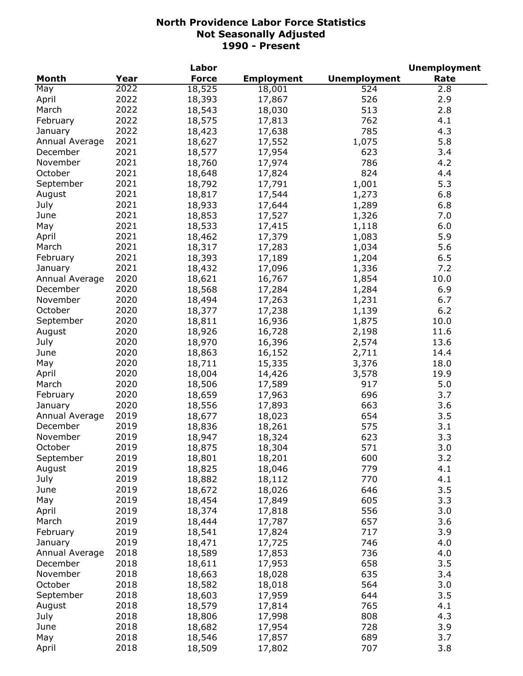|                |      | Labor        |                   |                     | <b>Unemployment</b> |
|----------------|------|--------------|-------------------|---------------------|---------------------|
| Month          | Year | <b>Force</b> | <b>Employment</b> | <b>Unemployment</b> | Rate                |
| May            | 2022 | 18,525       | 18,001            | 524                 | 2.8                 |
| April          | 2022 | 18,393       | 17,867            | 526                 | 2.9                 |
| March          | 2022 | 18,543       | 18,030            | 513                 | 2.8                 |
| February       | 2022 | 18,575       | 17,813            | 762                 | 4.1                 |
| January        | 2022 | 18,423       | 17,638            | 785                 | 4.3                 |
| Annual Average | 2021 | 18,627       | 17,552            | 1,075               | 5.8                 |
| December       | 2021 | 18,577       | 17,954            | 623                 | 3.4                 |
| November       | 2021 | 18,760       | 17,974            | 786                 | 4.2                 |
| October        | 2021 | 18,648       | 17,824            | 824                 | 4.4                 |
| September      | 2021 | 18,792       | 17,791            | 1,001               | 5.3                 |
| August         | 2021 | 18,817       | 17,544            | 1,273               | 6.8                 |
| July           | 2021 | 18,933       | 17,644            | 1,289               | 6.8                 |
| June           | 2021 | 18,853       | 17,527            | 1,326               | 7.0                 |
| May            | 2021 | 18,533       | 17,415            | 1,118               | 6.0                 |
| April          | 2021 | 18,462       | 17,379            | 1,083               | 5.9                 |
| March          | 2021 | 18,317       | 17,283            | 1,034               | 5.6                 |
| February       | 2021 | 18,393       | 17,189            | 1,204               | 6.5                 |
|                | 2021 |              |                   |                     | 7.2                 |
| January        | 2020 | 18,432       | 17,096            | 1,336               |                     |
| Annual Average |      | 18,621       | 16,767            | 1,854               | 10.0                |
| December       | 2020 | 18,568       | 17,284            | 1,284               | 6.9                 |
| November       | 2020 | 18,494       | 17,263            | 1,231               | 6.7                 |
| October        | 2020 | 18,377       | 17,238            | 1,139               | 6.2                 |
| September      | 2020 | 18,811       | 16,936            | 1,875               | 10.0                |
| August         | 2020 | 18,926       | 16,728            | 2,198               | 11.6                |
| July           | 2020 | 18,970       | 16,396            | 2,574               | 13.6                |
| June           | 2020 | 18,863       | 16,152            | 2,711               | 14.4                |
| May            | 2020 | 18,711       | 15,335            | 3,376               | 18.0                |
| April          | 2020 | 18,004       | 14,426            | 3,578               | 19.9                |
| March          | 2020 | 18,506       | 17,589            | 917                 | 5.0                 |
| February       | 2020 | 18,659       | 17,963            | 696                 | 3.7                 |
| January        | 2020 | 18,556       | 17,893            | 663                 | 3.6                 |
| Annual Average | 2019 | 18,677       | 18,023            | 654                 | 3.5                 |
| December       | 2019 | 18,836       | 18,261            | 575                 | 3.1                 |
| November       | 2019 | 18,947       | 18,324            | 623                 | 3.3                 |
| October        | 2019 | 18,875       | 18,304            | 571                 | 3.0                 |
| September      | 2019 | 18,801       | 18,201            | 600                 | 3.2                 |
| August         | 2019 | 18,825       | 18,046            | 779                 | 4.1                 |
| July           | 2019 | 18,882       | 18,112            | 770                 | 4.1                 |
| June           | 2019 | 18,672       | 18,026            | 646                 | 3.5                 |
| May            | 2019 | 18,454       | 17,849            | 605                 | 3.3                 |
| April          | 2019 | 18,374       | 17,818            | 556                 | 3.0                 |
| March          | 2019 | 18,444       | 17,787            | 657                 | 3.6                 |
| February       | 2019 | 18,541       | 17,824            | 717                 | 3.9                 |
| January        | 2019 | 18,471       | 17,725            | 746                 | 4.0                 |
| Annual Average | 2018 | 18,589       | 17,853            | 736                 | 4.0                 |
| December       | 2018 | 18,611       | 17,953            | 658                 | 3.5                 |
| November       | 2018 | 18,663       | 18,028            | 635                 | 3.4                 |
| October        | 2018 | 18,582       | 18,018            | 564                 | 3.0                 |
| September      | 2018 | 18,603       | 17,959            | 644                 | 3.5                 |
| August         | 2018 | 18,579       | 17,814            | 765                 | 4.1                 |
| July           | 2018 | 18,806       | 17,998            | 808                 | 4.3                 |
| June           | 2018 | 18,682       | 17,954            | 728                 | 3.9                 |
| May            | 2018 | 18,546       | 17,857            | 689                 | 3.7                 |
| April          | 2018 | 18,509       | 17,802            | 707                 | 3.8                 |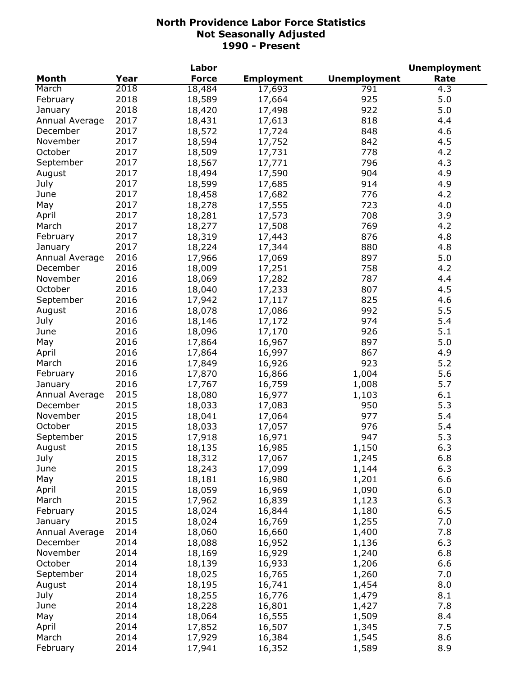|                |      | Labor        |                   |                     | <b>Unemployment</b> |
|----------------|------|--------------|-------------------|---------------------|---------------------|
| <b>Month</b>   | Year | <b>Force</b> | <b>Employment</b> | <b>Unemployment</b> | Rate                |
| March          | 2018 | 18,484       | 17,693            | 791                 | 4.3                 |
| February       | 2018 | 18,589       | 17,664            | 925                 | 5.0                 |
| January        | 2018 | 18,420       | 17,498            | 922                 | 5.0                 |
| Annual Average | 2017 | 18,431       | 17,613            | 818                 | 4.4                 |
| December       | 2017 | 18,572       | 17,724            | 848                 | 4.6                 |
| November       | 2017 | 18,594       | 17,752            | 842                 | 4.5                 |
| October        | 2017 | 18,509       | 17,731            | 778                 | 4.2                 |
| September      | 2017 | 18,567       | 17,771            | 796                 | 4.3                 |
| August         | 2017 | 18,494       | 17,590            | 904                 | 4.9                 |
| July           | 2017 | 18,599       | 17,685            | 914                 | 4.9                 |
| June           | 2017 | 18,458       | 17,682            | 776                 | 4.2                 |
| May            | 2017 | 18,278       | 17,555            | 723                 | 4.0                 |
| April          | 2017 | 18,281       | 17,573            | 708                 | 3.9                 |
| March          | 2017 | 18,277       | 17,508            | 769                 | 4.2                 |
| February       | 2017 | 18,319       | 17,443            | 876                 | 4.8                 |
| January        | 2017 | 18,224       | 17,344            | 880                 | 4.8                 |
| Annual Average | 2016 | 17,966       |                   | 897                 | 5.0                 |
|                |      |              | 17,069            |                     |                     |
| December       | 2016 | 18,009       | 17,251            | 758                 | 4.2                 |
| November       | 2016 | 18,069       | 17,282            | 787                 | 4.4                 |
| October        | 2016 | 18,040       | 17,233            | 807                 | 4.5                 |
| September      | 2016 | 17,942       | 17,117            | 825                 | 4.6                 |
| August         | 2016 | 18,078       | 17,086            | 992                 | 5.5                 |
| July           | 2016 | 18,146       | 17,172            | 974                 | 5.4                 |
| June           | 2016 | 18,096       | 17,170            | 926                 | 5.1                 |
| May            | 2016 | 17,864       | 16,967            | 897                 | 5.0                 |
| April          | 2016 | 17,864       | 16,997            | 867                 | 4.9                 |
| March          | 2016 | 17,849       | 16,926            | 923                 | 5.2                 |
| February       | 2016 | 17,870       | 16,866            | 1,004               | 5.6                 |
| January        | 2016 | 17,767       | 16,759            | 1,008               | 5.7                 |
| Annual Average | 2015 | 18,080       | 16,977            | 1,103               | 6.1                 |
| December       | 2015 | 18,033       | 17,083            | 950                 | 5.3                 |
| November       | 2015 | 18,041       | 17,064            | 977                 | 5.4                 |
| October        | 2015 | 18,033       | 17,057            | 976                 | 5.4                 |
| September      | 2015 | 17,918       | 16,971            | 947                 | 5.3                 |
| August         | 2015 | 18,135       | 16,985            | 1,150               | 6.3                 |
| July           | 2015 | 18,312       | 17,067            | 1,245               | 6.8                 |
| June           | 2015 | 18,243       | 17,099            | 1,144               | 6.3                 |
| May            | 2015 | 18,181       | 16,980            | 1,201               | 6.6                 |
| April          | 2015 | 18,059       | 16,969            | 1,090               | 6.0                 |
| March          | 2015 | 17,962       | 16,839            | 1,123               | 6.3                 |
| February       | 2015 | 18,024       | 16,844            | 1,180               | 6.5                 |
| January        | 2015 | 18,024       | 16,769            | 1,255               | 7.0                 |
| Annual Average | 2014 | 18,060       | 16,660            | 1,400               | 7.8                 |
| December       | 2014 | 18,088       | 16,952            | 1,136               | 6.3                 |
| November       | 2014 | 18,169       | 16,929            | 1,240               | 6.8                 |
| October        | 2014 | 18,139       | 16,933            | 1,206               | 6.6                 |
| September      | 2014 | 18,025       | 16,765            | 1,260               | 7.0                 |
| August         | 2014 | 18,195       | 16,741            | 1,454               | 8.0                 |
| July           | 2014 | 18,255       | 16,776            | 1,479               | 8.1                 |
| June           | 2014 | 18,228       | 16,801            | 1,427               | 7.8                 |
| May            | 2014 | 18,064       | 16,555            | 1,509               | 8.4                 |
| April          | 2014 |              |                   |                     | 7.5                 |
| March          | 2014 | 17,852       | 16,507            | 1,345               |                     |
|                |      | 17,929       | 16,384            | 1,545               | 8.6                 |
| February       | 2014 | 17,941       | 16,352            | 1,589               | 8.9                 |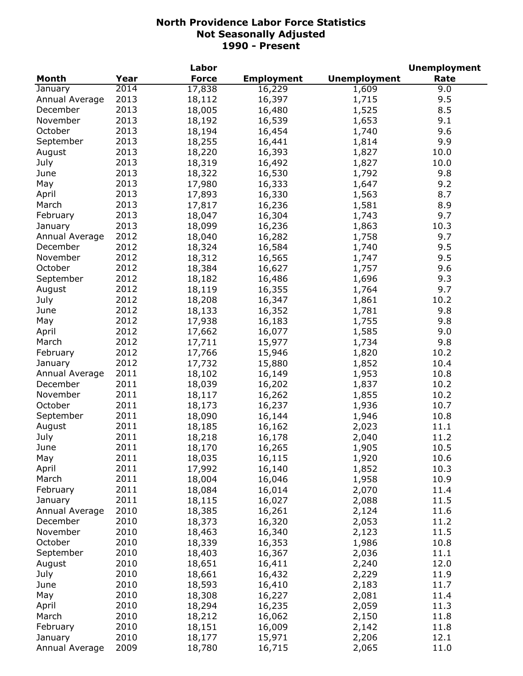|                           |      | Labor            |                   |                     | <b>Unemployment</b> |
|---------------------------|------|------------------|-------------------|---------------------|---------------------|
| <b>Month</b>              | Year | <b>Force</b>     | <b>Employment</b> | <b>Unemployment</b> | Rate                |
| January                   | 2014 | 17,838           | 16,229            | 1,609               | 9.0                 |
| Annual Average            | 2013 | 18,112           | 16,397            | 1,715               | 9.5                 |
| December                  | 2013 | 18,005           | 16,480            | 1,525               | 8.5                 |
| November                  | 2013 | 18,192           | 16,539            | 1,653               | 9.1                 |
| October                   | 2013 | 18,194           | 16,454            | 1,740               | 9.6                 |
| September                 | 2013 | 18,255           | 16,441            | 1,814               | 9.9                 |
| August                    | 2013 | 18,220           | 16,393            | 1,827               | 10.0                |
| July                      | 2013 | 18,319           | 16,492            | 1,827               | 10.0                |
| June                      | 2013 | 18,322           | 16,530            | 1,792               | 9.8                 |
| May                       | 2013 | 17,980           | 16,333            | 1,647               | 9.2                 |
| April                     | 2013 | 17,893           | 16,330            | 1,563               | 8.7                 |
| March                     | 2013 | 17,817           | 16,236            | 1,581               | 8.9                 |
| February                  | 2013 | 18,047           | 16,304            | 1,743               | 9.7                 |
|                           | 2013 | 18,099           | 16,236            | 1,863               | 10.3                |
| January<br>Annual Average | 2012 |                  |                   |                     | 9.7                 |
|                           |      | 18,040           | 16,282            | 1,758               | 9.5                 |
| December                  | 2012 | 18,324           | 16,584            | 1,740               |                     |
| November                  | 2012 | 18,312           | 16,565            | 1,747               | 9.5                 |
| October                   | 2012 | 18,384           | 16,627            | 1,757               | 9.6                 |
| September                 | 2012 | 18,182           | 16,486            | 1,696               | 9.3                 |
| August                    | 2012 | 18,119           | 16,355            | 1,764               | 9.7                 |
| July                      | 2012 | 18,208           | 16,347            | 1,861               | 10.2                |
| June                      | 2012 | 18,133           | 16,352            | 1,781               | 9.8                 |
| May                       | 2012 | 17,938           | 16,183            | 1,755               | 9.8                 |
| April                     | 2012 | 17,662           | 16,077            | 1,585               | 9.0                 |
| March                     | 2012 | 17,711           | 15,977            | 1,734               | 9.8                 |
| February                  | 2012 | 17,766           | 15,946            | 1,820               | 10.2                |
| January                   | 2012 | 17,732           | 15,880            | 1,852               | 10.4                |
| Annual Average            | 2011 | 18,102           | 16,149            | 1,953               | 10.8                |
| December                  | 2011 | 18,039           | 16,202            | 1,837               | 10.2                |
| November                  | 2011 | 18,117           | 16,262            | 1,855               | 10.2                |
| October                   | 2011 | 18,173           | 16,237            | 1,936               | 10.7                |
| September                 | 2011 | 18,090           | 16,144            | 1,946               | 10.8                |
| August                    | 2011 | 18,185           | 16,162            | 2,023               | 11.1                |
| July                      | 2011 | 18,218           | 16,178            | 2,040               | 11.2                |
| June                      | 2011 | 18,170           | 16,265            | 1,905               | 10.5                |
| May                       | 2011 | 18,035           | 16,115            | 1,920               | 10.6                |
| April                     | 2011 | 17,992           | 16,140            | 1,852               | 10.3                |
| March                     | 2011 | 18,004           | 16,046            | 1,958               | 10.9                |
| February                  | 2011 | 18,084           | 16,014            | 2,070               | 11.4                |
| January                   | 2011 | 18,115           | 16,027            | 2,088               | 11.5                |
| Annual Average            | 2010 | 18,385           | 16,261            | 2,124               | 11.6                |
| December                  | 2010 | 18,373           | 16,320            | 2,053               | 11.2                |
| November                  | 2010 | 18,463           | 16,340            | 2,123               | 11.5                |
| October                   | 2010 | 18,339           | 16,353            | 1,986               | 10.8                |
| September                 | 2010 | 18,403           | 16,367            | 2,036               | 11.1                |
| August                    | 2010 | 18,651           | 16,411            | 2,240               | 12.0                |
| July                      | 2010 | 18,661           | 16,432            | 2,229               | 11.9                |
| June                      | 2010 | 18,593           | 16,410            | 2,183               | 11.7                |
| May                       | 2010 |                  |                   |                     |                     |
| April                     | 2010 | 18,308<br>18,294 | 16,227            | 2,081<br>2,059      | 11.4<br>11.3        |
| March                     | 2010 |                  | 16,235            |                     |                     |
|                           |      | 18,212           | 16,062            | 2,150               | 11.8                |
| February                  | 2010 | 18,151           | 16,009            | 2,142               | 11.8                |
| January                   | 2010 | 18,177           | 15,971            | 2,206               | 12.1                |
| Annual Average            | 2009 | 18,780           | 16,715            | 2,065               | 11.0                |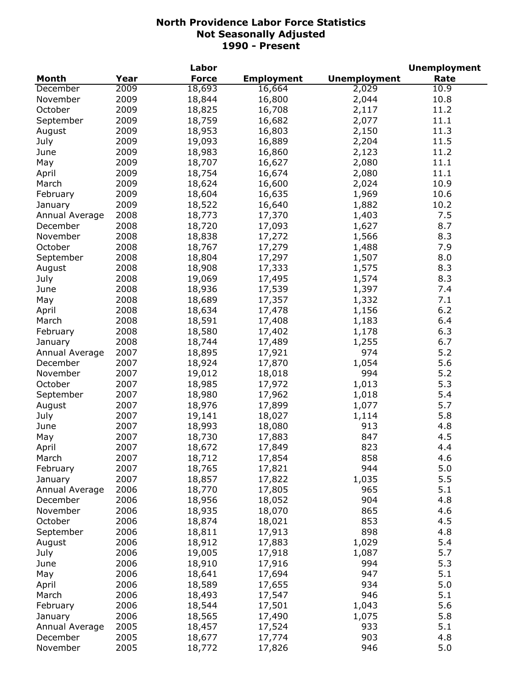|                |      | Labor            |                   |                     | <b>Unemployment</b> |
|----------------|------|------------------|-------------------|---------------------|---------------------|
| Month          | Year | <b>Force</b>     | <b>Employment</b> | <b>Unemployment</b> | Rate                |
| December       | 2009 | 18,693           | 16,664            | 2,029               | 10.9                |
| November       | 2009 | 18,844           | 16,800            | 2,044               | 10.8                |
| October        | 2009 | 18,825           | 16,708            | 2,117               | 11.2                |
| September      | 2009 | 18,759           | 16,682            | 2,077               | 11.1                |
| August         | 2009 | 18,953           | 16,803            | 2,150               | 11.3                |
| July           | 2009 | 19,093           | 16,889            | 2,204               | 11.5                |
| June           | 2009 | 18,983           | 16,860            | 2,123               | 11.2                |
| May            | 2009 | 18,707           | 16,627            | 2,080               | 11.1                |
| April          | 2009 | 18,754           | 16,674            | 2,080               | 11.1                |
| March          | 2009 | 18,624           | 16,600            | 2,024               | 10.9                |
| February       | 2009 | 18,604           | 16,635            | 1,969               | 10.6                |
| January        | 2009 | 18,522           | 16,640            | 1,882               | 10.2                |
| Annual Average | 2008 | 18,773           | 17,370            | 1,403               | 7.5                 |
| December       | 2008 | 18,720           | 17,093            | 1,627               | 8.7                 |
| November       | 2008 | 18,838           | 17,272            | 1,566               | 8.3                 |
| October        | 2008 | 18,767           | 17,279            | 1,488               | 7.9                 |
| September      | 2008 | 18,804           | 17,297            | 1,507               | 8.0                 |
|                | 2008 |                  | 17,333            |                     | 8.3                 |
| August         |      | 18,908<br>19,069 |                   | 1,575               |                     |
| July           | 2008 |                  | 17,495            | 1,574               | 8.3                 |
| June           | 2008 | 18,936           | 17,539            | 1,397               | 7.4                 |
| May            | 2008 | 18,689           | 17,357            | 1,332               | 7.1                 |
| April          | 2008 | 18,634           | 17,478            | 1,156               | 6.2                 |
| March          | 2008 | 18,591           | 17,408            | 1,183               | 6.4                 |
| February       | 2008 | 18,580           | 17,402            | 1,178               | 6.3                 |
| January        | 2008 | 18,744           | 17,489            | 1,255               | 6.7                 |
| Annual Average | 2007 | 18,895           | 17,921            | 974                 | 5.2                 |
| December       | 2007 | 18,924           | 17,870            | 1,054               | 5.6                 |
| November       | 2007 | 19,012           | 18,018            | 994                 | 5.2                 |
| October        | 2007 | 18,985           | 17,972            | 1,013               | 5.3                 |
| September      | 2007 | 18,980           | 17,962            | 1,018               | 5.4                 |
| August         | 2007 | 18,976           | 17,899            | 1,077               | 5.7                 |
| July           | 2007 | 19,141           | 18,027            | 1,114               | 5.8                 |
| June           | 2007 | 18,993           | 18,080            | 913                 | 4.8                 |
| May            | 2007 | 18,730           | 17,883            | 847                 | 4.5                 |
| April          | 2007 | 18,672           | 17,849            | 823                 | 4.4                 |
| March          | 2007 | 18,712           | 17,854            | 858                 | 4.6                 |
| February       | 2007 | 18,765           | 17,821            | 944                 | 5.0                 |
| January        | 2007 | 18,857           | 17,822            | 1,035               | 5.5                 |
| Annual Average | 2006 | 18,770           | 17,805            | 965                 | 5.1                 |
| December       | 2006 | 18,956           | 18,052            | 904                 | 4.8                 |
| November       | 2006 | 18,935           | 18,070            | 865                 | 4.6                 |
| October        | 2006 | 18,874           | 18,021            | 853                 | 4.5                 |
| September      | 2006 | 18,811           | 17,913            | 898                 | 4.8                 |
| August         | 2006 | 18,912           | 17,883            | 1,029               | 5.4                 |
| July           | 2006 | 19,005           | 17,918            | 1,087               | 5.7                 |
| June           | 2006 | 18,910           | 17,916            | 994                 | 5.3                 |
| May            | 2006 | 18,641           | 17,694            | 947                 | 5.1                 |
|                |      |                  |                   | 934                 | 5.0                 |
| April          | 2006 | 18,589           | 17,655            |                     |                     |
| March          | 2006 | 18,493           | 17,547            | 946                 | 5.1                 |
| February       | 2006 | 18,544           | 17,501            | 1,043               | 5.6                 |
| January        | 2006 | 18,565           | 17,490            | 1,075               | 5.8                 |
| Annual Average | 2005 | 18,457           | 17,524            | 933                 | 5.1                 |
| December       | 2005 | 18,677           | 17,774            | 903                 | 4.8                 |
| November       | 2005 | 18,772           | 17,826            | 946                 | 5.0                 |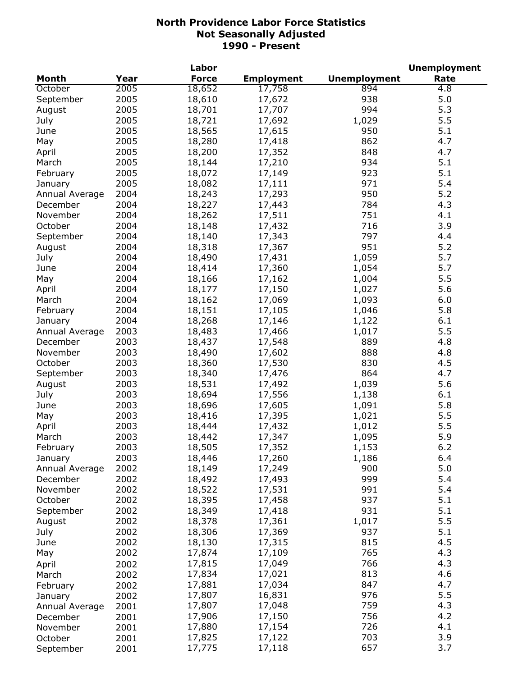|                |      | Labor        |                   |                     | <b>Unemployment</b> |
|----------------|------|--------------|-------------------|---------------------|---------------------|
| <b>Month</b>   | Year | <b>Force</b> | <b>Employment</b> | <b>Unemployment</b> | Rate                |
| October        | 2005 | 18,652       | 17,758            | 894                 | 4.8                 |
| September      | 2005 | 18,610       | 17,672            | 938                 | 5.0                 |
| August         | 2005 | 18,701       | 17,707            | 994                 | 5.3                 |
| July           | 2005 | 18,721       | 17,692            | 1,029               | 5.5                 |
| June           | 2005 | 18,565       | 17,615            | 950                 | 5.1                 |
| May            | 2005 | 18,280       | 17,418            | 862                 | 4.7                 |
| April          | 2005 | 18,200       | 17,352            | 848                 | 4.7                 |
| March          | 2005 | 18,144       | 17,210            | 934                 | 5.1                 |
| February       | 2005 | 18,072       | 17,149            | 923                 | 5.1                 |
| January        | 2005 | 18,082       | 17,111            | 971                 | 5.4                 |
| Annual Average | 2004 | 18,243       | 17,293            | 950                 | 5.2                 |
| December       | 2004 | 18,227       | 17,443            | 784                 | 4.3                 |
| November       | 2004 | 18,262       | 17,511            | 751                 | 4.1                 |
| October        | 2004 | 18,148       | 17,432            | 716                 | 3.9                 |
| September      | 2004 | 18,140       | 17,343            | 797                 | 4.4                 |
| August         | 2004 | 18,318       | 17,367            | 951                 | 5.2                 |
| July           | 2004 | 18,490       | 17,431            | 1,059               | 5.7                 |
|                | 2004 | 18,414       | 17,360            | 1,054               | 5.7                 |
| June           |      |              |                   |                     |                     |
| May            | 2004 | 18,166       | 17,162            | 1,004               | 5.5                 |
| April          | 2004 | 18,177       | 17,150            | 1,027               | 5.6                 |
| March          | 2004 | 18,162       | 17,069            | 1,093               | 6.0                 |
| February       | 2004 | 18,151       | 17,105            | 1,046               | 5.8                 |
| January        | 2004 | 18,268       | 17,146            | 1,122               | 6.1                 |
| Annual Average | 2003 | 18,483       | 17,466            | 1,017               | 5.5                 |
| December       | 2003 | 18,437       | 17,548            | 889                 | 4.8                 |
| November       | 2003 | 18,490       | 17,602            | 888                 | 4.8                 |
| October        | 2003 | 18,360       | 17,530            | 830                 | 4.5                 |
| September      | 2003 | 18,340       | 17,476            | 864                 | 4.7                 |
| August         | 2003 | 18,531       | 17,492            | 1,039               | 5.6                 |
| July           | 2003 | 18,694       | 17,556            | 1,138               | 6.1                 |
| June           | 2003 | 18,696       | 17,605            | 1,091               | 5.8                 |
| May            | 2003 | 18,416       | 17,395            | 1,021               | 5.5                 |
| April          | 2003 | 18,444       | 17,432            | 1,012               | 5.5                 |
| March          | 2003 | 18,442       | 17,347            | 1,095               | 5.9                 |
| February       | 2003 | 18,505       | 17,352            | 1,153               | $6.2$               |
| January        | 2003 | 18,446       | 17,260            | 1,186               | 6.4                 |
| Annual Average | 2002 | 18,149       | 17,249            | 900                 | 5.0                 |
| December       | 2002 | 18,492       | 17,493            | 999                 | 5.4                 |
| November       | 2002 | 18,522       | 17,531            | 991                 | 5.4                 |
| October        | 2002 | 18,395       | 17,458            | 937                 | 5.1                 |
| September      | 2002 | 18,349       | 17,418            | 931                 | 5.1                 |
| August         | 2002 | 18,378       | 17,361            | 1,017               | 5.5                 |
| July           | 2002 | 18,306       | 17,369            | 937                 | 5.1                 |
| June           | 2002 | 18,130       | 17,315            | 815                 | 4.5                 |
| May            | 2002 | 17,874       | 17,109            | 765                 | 4.3                 |
| April          | 2002 | 17,815       | 17,049            | 766                 | 4.3                 |
| March          | 2002 | 17,834       | 17,021            | 813                 | 4.6                 |
| February       | 2002 | 17,881       | 17,034            | 847                 | 4.7                 |
| January        | 2002 | 17,807       | 16,831            | 976                 | 5.5                 |
| Annual Average | 2001 | 17,807       | 17,048            | 759                 | 4.3                 |
| December       | 2001 | 17,906       | 17,150            | 756                 | 4.2                 |
| November       | 2001 | 17,880       | 17,154            | 726                 | 4.1                 |
| October        | 2001 | 17,825       | 17,122            | 703                 | 3.9                 |
| September      | 2001 | 17,775       | 17,118            | 657                 | 3.7                 |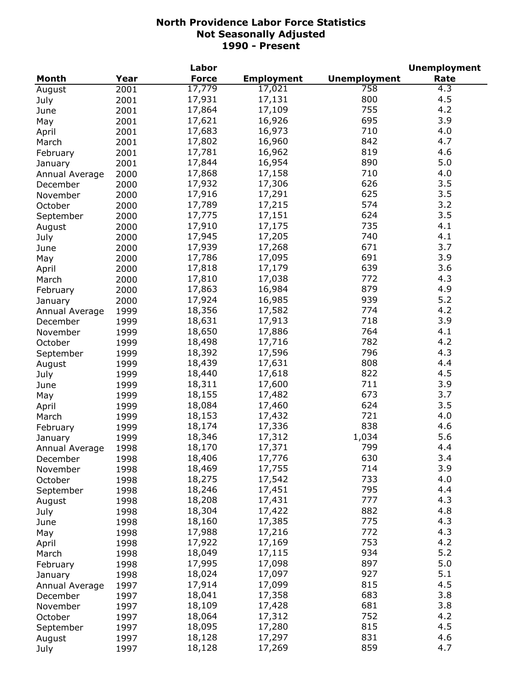| <b>Force</b><br><b>Employment</b><br><b>Unemployment</b><br>Rate<br><b>Month</b><br>Year<br>17,779<br>17,021<br>758<br>4.3<br>2001<br>800<br>4.5<br>17,931<br>17,131<br>2001<br>July<br>755<br>17,864<br>17,109<br>4.2<br>2001<br>June<br>695<br>3.9<br>17,621<br>16,926<br>2001<br>May<br>710<br>4.0<br>17,683<br>16,973<br>2001<br>April<br>842<br>4.7<br>17,802<br>16,960<br>2001<br>March<br>819<br>17,781<br>16,962<br>4.6<br>2001<br>February<br>5.0<br>17,844<br>890<br>16,954<br>2001<br>January<br>17,868<br>17,158<br>710<br>4.0<br>2000<br>Annual Average<br>17,932<br>17,306<br>626<br>3.5<br>2000<br>December<br>17,916<br>17,291<br>625<br>3.5<br>2000<br>November<br>17,789<br>17,215<br>3.2<br>574<br>2000<br>October<br>3.5<br>17,775<br>17,151<br>624<br>2000<br>September<br>735<br>17,910<br>4.1<br>17,175<br>2000<br>August<br>740<br>4.1<br>17,945<br>17,205<br>2000<br>July<br>17,939<br>671<br>3.7<br>17,268<br>2000<br>June<br>691<br>3.9<br>17,786<br>17,095<br>2000<br>May<br>639<br>3.6<br>17,818<br>17,179<br>2000<br>April<br>772<br>17,810<br>17,038<br>4.3<br>2000<br>March<br>17,863<br>879<br>16,984<br>4.9<br>2000<br>February<br>17,924<br>939<br>5.2<br>16,985<br>2000<br>January<br>18,356<br>774<br>4.2<br>17,582<br>1999<br>Annual Average<br>718<br>3.9<br>18,631<br>17,913<br>1999<br>December<br>764<br>4.1<br>18,650<br>17,886<br>1999<br>November<br>18,498<br>782<br>4.2<br>17,716<br>1999<br>October<br>4.3<br>18,392<br>17,596<br>796<br>1999<br>September<br>18,439<br>17,631<br>808<br>4.4<br>1999<br>August<br>18,440<br>822<br>4.5<br>17,618<br>1999<br>July<br>18,311<br>711<br>3.9<br>17,600<br>1999<br>June<br>673<br>3.7<br>18,155<br>17,482<br>1999<br>May<br>624<br>3.5<br>18,084<br>17,460<br>1999<br>April<br>721<br>4.0<br>18,153<br>17,432<br>1999<br>March<br>838<br>18,174<br>17,336<br>4.6<br>1999<br>February<br>5.6<br>18,346<br>17,312<br>1,034<br>1999<br>January<br>Annual Average<br>1998<br>18,170<br>17,371<br>799<br>4.4<br>630<br>3.4<br>18,406<br>17,776<br>1998<br>December<br>714<br>3.9<br>18,469<br>17,755<br>1998<br>November<br>4.0<br>18,275<br>17,542<br>733<br>1998<br>October<br>795<br>4.4<br>18,246<br>17,451<br>1998<br>September<br>4.3<br>18,208<br>17,431<br>777<br>1998<br>18,304<br>882<br>4.8<br>17,422<br>1998<br>July<br>775<br>4.3<br>18,160<br>17,385<br>1998<br>June<br>4.3<br>17,988<br>17,216<br>772<br>1998<br>May<br>17,922<br>753<br>4.2<br>17,169<br>1998<br>April<br>5.2<br>18,049<br>934<br>17,115<br>1998<br>March<br>5.0<br>17,995<br>897<br>17,098<br>1998<br>February<br>927<br>5.1<br>18,024<br>17,097<br>1998<br>January<br>815<br>4.5<br>17,914<br>17,099<br>1997<br>Annual Average<br>683<br>3.8<br>18,041<br>17,358<br>1997<br>December<br>681<br>3.8<br>18,109<br>17,428<br>1997<br>November<br>752<br>4.2<br>18,064<br>17,312<br>1997<br>October<br>815<br>4.5<br>18,095<br>17,280<br>1997<br>September<br>831<br>4.6<br>18,128<br>17,297<br>1997<br>August |        |      | Labor  |        |     | <b>Unemployment</b> |
|------------------------------------------------------------------------------------------------------------------------------------------------------------------------------------------------------------------------------------------------------------------------------------------------------------------------------------------------------------------------------------------------------------------------------------------------------------------------------------------------------------------------------------------------------------------------------------------------------------------------------------------------------------------------------------------------------------------------------------------------------------------------------------------------------------------------------------------------------------------------------------------------------------------------------------------------------------------------------------------------------------------------------------------------------------------------------------------------------------------------------------------------------------------------------------------------------------------------------------------------------------------------------------------------------------------------------------------------------------------------------------------------------------------------------------------------------------------------------------------------------------------------------------------------------------------------------------------------------------------------------------------------------------------------------------------------------------------------------------------------------------------------------------------------------------------------------------------------------------------------------------------------------------------------------------------------------------------------------------------------------------------------------------------------------------------------------------------------------------------------------------------------------------------------------------------------------------------------------------------------------------------------------------------------------------------------------------------------------------------------------------------------------------------------------------------------------------------------------------------------------------------------------------------------------------------------------------------------------------------------------------------------------------------------------------------------------------------------------------------------------------------------------------------------------------------------------------------------------------------------------------------------------------------------------------------------------------------------------------|--------|------|--------|--------|-----|---------------------|
|                                                                                                                                                                                                                                                                                                                                                                                                                                                                                                                                                                                                                                                                                                                                                                                                                                                                                                                                                                                                                                                                                                                                                                                                                                                                                                                                                                                                                                                                                                                                                                                                                                                                                                                                                                                                                                                                                                                                                                                                                                                                                                                                                                                                                                                                                                                                                                                                                                                                                                                                                                                                                                                                                                                                                                                                                                                                                                                                                                                    |        |      |        |        |     |                     |
|                                                                                                                                                                                                                                                                                                                                                                                                                                                                                                                                                                                                                                                                                                                                                                                                                                                                                                                                                                                                                                                                                                                                                                                                                                                                                                                                                                                                                                                                                                                                                                                                                                                                                                                                                                                                                                                                                                                                                                                                                                                                                                                                                                                                                                                                                                                                                                                                                                                                                                                                                                                                                                                                                                                                                                                                                                                                                                                                                                                    | August |      |        |        |     |                     |
|                                                                                                                                                                                                                                                                                                                                                                                                                                                                                                                                                                                                                                                                                                                                                                                                                                                                                                                                                                                                                                                                                                                                                                                                                                                                                                                                                                                                                                                                                                                                                                                                                                                                                                                                                                                                                                                                                                                                                                                                                                                                                                                                                                                                                                                                                                                                                                                                                                                                                                                                                                                                                                                                                                                                                                                                                                                                                                                                                                                    |        |      |        |        |     |                     |
|                                                                                                                                                                                                                                                                                                                                                                                                                                                                                                                                                                                                                                                                                                                                                                                                                                                                                                                                                                                                                                                                                                                                                                                                                                                                                                                                                                                                                                                                                                                                                                                                                                                                                                                                                                                                                                                                                                                                                                                                                                                                                                                                                                                                                                                                                                                                                                                                                                                                                                                                                                                                                                                                                                                                                                                                                                                                                                                                                                                    |        |      |        |        |     |                     |
|                                                                                                                                                                                                                                                                                                                                                                                                                                                                                                                                                                                                                                                                                                                                                                                                                                                                                                                                                                                                                                                                                                                                                                                                                                                                                                                                                                                                                                                                                                                                                                                                                                                                                                                                                                                                                                                                                                                                                                                                                                                                                                                                                                                                                                                                                                                                                                                                                                                                                                                                                                                                                                                                                                                                                                                                                                                                                                                                                                                    |        |      |        |        |     |                     |
|                                                                                                                                                                                                                                                                                                                                                                                                                                                                                                                                                                                                                                                                                                                                                                                                                                                                                                                                                                                                                                                                                                                                                                                                                                                                                                                                                                                                                                                                                                                                                                                                                                                                                                                                                                                                                                                                                                                                                                                                                                                                                                                                                                                                                                                                                                                                                                                                                                                                                                                                                                                                                                                                                                                                                                                                                                                                                                                                                                                    |        |      |        |        |     |                     |
|                                                                                                                                                                                                                                                                                                                                                                                                                                                                                                                                                                                                                                                                                                                                                                                                                                                                                                                                                                                                                                                                                                                                                                                                                                                                                                                                                                                                                                                                                                                                                                                                                                                                                                                                                                                                                                                                                                                                                                                                                                                                                                                                                                                                                                                                                                                                                                                                                                                                                                                                                                                                                                                                                                                                                                                                                                                                                                                                                                                    |        |      |        |        |     |                     |
|                                                                                                                                                                                                                                                                                                                                                                                                                                                                                                                                                                                                                                                                                                                                                                                                                                                                                                                                                                                                                                                                                                                                                                                                                                                                                                                                                                                                                                                                                                                                                                                                                                                                                                                                                                                                                                                                                                                                                                                                                                                                                                                                                                                                                                                                                                                                                                                                                                                                                                                                                                                                                                                                                                                                                                                                                                                                                                                                                                                    |        |      |        |        |     |                     |
|                                                                                                                                                                                                                                                                                                                                                                                                                                                                                                                                                                                                                                                                                                                                                                                                                                                                                                                                                                                                                                                                                                                                                                                                                                                                                                                                                                                                                                                                                                                                                                                                                                                                                                                                                                                                                                                                                                                                                                                                                                                                                                                                                                                                                                                                                                                                                                                                                                                                                                                                                                                                                                                                                                                                                                                                                                                                                                                                                                                    |        |      |        |        |     |                     |
|                                                                                                                                                                                                                                                                                                                                                                                                                                                                                                                                                                                                                                                                                                                                                                                                                                                                                                                                                                                                                                                                                                                                                                                                                                                                                                                                                                                                                                                                                                                                                                                                                                                                                                                                                                                                                                                                                                                                                                                                                                                                                                                                                                                                                                                                                                                                                                                                                                                                                                                                                                                                                                                                                                                                                                                                                                                                                                                                                                                    |        |      |        |        |     |                     |
|                                                                                                                                                                                                                                                                                                                                                                                                                                                                                                                                                                                                                                                                                                                                                                                                                                                                                                                                                                                                                                                                                                                                                                                                                                                                                                                                                                                                                                                                                                                                                                                                                                                                                                                                                                                                                                                                                                                                                                                                                                                                                                                                                                                                                                                                                                                                                                                                                                                                                                                                                                                                                                                                                                                                                                                                                                                                                                                                                                                    |        |      |        |        |     |                     |
|                                                                                                                                                                                                                                                                                                                                                                                                                                                                                                                                                                                                                                                                                                                                                                                                                                                                                                                                                                                                                                                                                                                                                                                                                                                                                                                                                                                                                                                                                                                                                                                                                                                                                                                                                                                                                                                                                                                                                                                                                                                                                                                                                                                                                                                                                                                                                                                                                                                                                                                                                                                                                                                                                                                                                                                                                                                                                                                                                                                    |        |      |        |        |     |                     |
|                                                                                                                                                                                                                                                                                                                                                                                                                                                                                                                                                                                                                                                                                                                                                                                                                                                                                                                                                                                                                                                                                                                                                                                                                                                                                                                                                                                                                                                                                                                                                                                                                                                                                                                                                                                                                                                                                                                                                                                                                                                                                                                                                                                                                                                                                                                                                                                                                                                                                                                                                                                                                                                                                                                                                                                                                                                                                                                                                                                    |        |      |        |        |     |                     |
|                                                                                                                                                                                                                                                                                                                                                                                                                                                                                                                                                                                                                                                                                                                                                                                                                                                                                                                                                                                                                                                                                                                                                                                                                                                                                                                                                                                                                                                                                                                                                                                                                                                                                                                                                                                                                                                                                                                                                                                                                                                                                                                                                                                                                                                                                                                                                                                                                                                                                                                                                                                                                                                                                                                                                                                                                                                                                                                                                                                    |        |      |        |        |     |                     |
|                                                                                                                                                                                                                                                                                                                                                                                                                                                                                                                                                                                                                                                                                                                                                                                                                                                                                                                                                                                                                                                                                                                                                                                                                                                                                                                                                                                                                                                                                                                                                                                                                                                                                                                                                                                                                                                                                                                                                                                                                                                                                                                                                                                                                                                                                                                                                                                                                                                                                                                                                                                                                                                                                                                                                                                                                                                                                                                                                                                    |        |      |        |        |     |                     |
|                                                                                                                                                                                                                                                                                                                                                                                                                                                                                                                                                                                                                                                                                                                                                                                                                                                                                                                                                                                                                                                                                                                                                                                                                                                                                                                                                                                                                                                                                                                                                                                                                                                                                                                                                                                                                                                                                                                                                                                                                                                                                                                                                                                                                                                                                                                                                                                                                                                                                                                                                                                                                                                                                                                                                                                                                                                                                                                                                                                    |        |      |        |        |     |                     |
|                                                                                                                                                                                                                                                                                                                                                                                                                                                                                                                                                                                                                                                                                                                                                                                                                                                                                                                                                                                                                                                                                                                                                                                                                                                                                                                                                                                                                                                                                                                                                                                                                                                                                                                                                                                                                                                                                                                                                                                                                                                                                                                                                                                                                                                                                                                                                                                                                                                                                                                                                                                                                                                                                                                                                                                                                                                                                                                                                                                    |        |      |        |        |     |                     |
|                                                                                                                                                                                                                                                                                                                                                                                                                                                                                                                                                                                                                                                                                                                                                                                                                                                                                                                                                                                                                                                                                                                                                                                                                                                                                                                                                                                                                                                                                                                                                                                                                                                                                                                                                                                                                                                                                                                                                                                                                                                                                                                                                                                                                                                                                                                                                                                                                                                                                                                                                                                                                                                                                                                                                                                                                                                                                                                                                                                    |        |      |        |        |     |                     |
|                                                                                                                                                                                                                                                                                                                                                                                                                                                                                                                                                                                                                                                                                                                                                                                                                                                                                                                                                                                                                                                                                                                                                                                                                                                                                                                                                                                                                                                                                                                                                                                                                                                                                                                                                                                                                                                                                                                                                                                                                                                                                                                                                                                                                                                                                                                                                                                                                                                                                                                                                                                                                                                                                                                                                                                                                                                                                                                                                                                    |        |      |        |        |     |                     |
|                                                                                                                                                                                                                                                                                                                                                                                                                                                                                                                                                                                                                                                                                                                                                                                                                                                                                                                                                                                                                                                                                                                                                                                                                                                                                                                                                                                                                                                                                                                                                                                                                                                                                                                                                                                                                                                                                                                                                                                                                                                                                                                                                                                                                                                                                                                                                                                                                                                                                                                                                                                                                                                                                                                                                                                                                                                                                                                                                                                    |        |      |        |        |     |                     |
|                                                                                                                                                                                                                                                                                                                                                                                                                                                                                                                                                                                                                                                                                                                                                                                                                                                                                                                                                                                                                                                                                                                                                                                                                                                                                                                                                                                                                                                                                                                                                                                                                                                                                                                                                                                                                                                                                                                                                                                                                                                                                                                                                                                                                                                                                                                                                                                                                                                                                                                                                                                                                                                                                                                                                                                                                                                                                                                                                                                    |        |      |        |        |     |                     |
|                                                                                                                                                                                                                                                                                                                                                                                                                                                                                                                                                                                                                                                                                                                                                                                                                                                                                                                                                                                                                                                                                                                                                                                                                                                                                                                                                                                                                                                                                                                                                                                                                                                                                                                                                                                                                                                                                                                                                                                                                                                                                                                                                                                                                                                                                                                                                                                                                                                                                                                                                                                                                                                                                                                                                                                                                                                                                                                                                                                    |        |      |        |        |     |                     |
|                                                                                                                                                                                                                                                                                                                                                                                                                                                                                                                                                                                                                                                                                                                                                                                                                                                                                                                                                                                                                                                                                                                                                                                                                                                                                                                                                                                                                                                                                                                                                                                                                                                                                                                                                                                                                                                                                                                                                                                                                                                                                                                                                                                                                                                                                                                                                                                                                                                                                                                                                                                                                                                                                                                                                                                                                                                                                                                                                                                    |        |      |        |        |     |                     |
|                                                                                                                                                                                                                                                                                                                                                                                                                                                                                                                                                                                                                                                                                                                                                                                                                                                                                                                                                                                                                                                                                                                                                                                                                                                                                                                                                                                                                                                                                                                                                                                                                                                                                                                                                                                                                                                                                                                                                                                                                                                                                                                                                                                                                                                                                                                                                                                                                                                                                                                                                                                                                                                                                                                                                                                                                                                                                                                                                                                    |        |      |        |        |     |                     |
|                                                                                                                                                                                                                                                                                                                                                                                                                                                                                                                                                                                                                                                                                                                                                                                                                                                                                                                                                                                                                                                                                                                                                                                                                                                                                                                                                                                                                                                                                                                                                                                                                                                                                                                                                                                                                                                                                                                                                                                                                                                                                                                                                                                                                                                                                                                                                                                                                                                                                                                                                                                                                                                                                                                                                                                                                                                                                                                                                                                    |        |      |        |        |     |                     |
|                                                                                                                                                                                                                                                                                                                                                                                                                                                                                                                                                                                                                                                                                                                                                                                                                                                                                                                                                                                                                                                                                                                                                                                                                                                                                                                                                                                                                                                                                                                                                                                                                                                                                                                                                                                                                                                                                                                                                                                                                                                                                                                                                                                                                                                                                                                                                                                                                                                                                                                                                                                                                                                                                                                                                                                                                                                                                                                                                                                    |        |      |        |        |     |                     |
|                                                                                                                                                                                                                                                                                                                                                                                                                                                                                                                                                                                                                                                                                                                                                                                                                                                                                                                                                                                                                                                                                                                                                                                                                                                                                                                                                                                                                                                                                                                                                                                                                                                                                                                                                                                                                                                                                                                                                                                                                                                                                                                                                                                                                                                                                                                                                                                                                                                                                                                                                                                                                                                                                                                                                                                                                                                                                                                                                                                    |        |      |        |        |     |                     |
|                                                                                                                                                                                                                                                                                                                                                                                                                                                                                                                                                                                                                                                                                                                                                                                                                                                                                                                                                                                                                                                                                                                                                                                                                                                                                                                                                                                                                                                                                                                                                                                                                                                                                                                                                                                                                                                                                                                                                                                                                                                                                                                                                                                                                                                                                                                                                                                                                                                                                                                                                                                                                                                                                                                                                                                                                                                                                                                                                                                    |        |      |        |        |     |                     |
|                                                                                                                                                                                                                                                                                                                                                                                                                                                                                                                                                                                                                                                                                                                                                                                                                                                                                                                                                                                                                                                                                                                                                                                                                                                                                                                                                                                                                                                                                                                                                                                                                                                                                                                                                                                                                                                                                                                                                                                                                                                                                                                                                                                                                                                                                                                                                                                                                                                                                                                                                                                                                                                                                                                                                                                                                                                                                                                                                                                    |        |      |        |        |     |                     |
|                                                                                                                                                                                                                                                                                                                                                                                                                                                                                                                                                                                                                                                                                                                                                                                                                                                                                                                                                                                                                                                                                                                                                                                                                                                                                                                                                                                                                                                                                                                                                                                                                                                                                                                                                                                                                                                                                                                                                                                                                                                                                                                                                                                                                                                                                                                                                                                                                                                                                                                                                                                                                                                                                                                                                                                                                                                                                                                                                                                    |        |      |        |        |     |                     |
|                                                                                                                                                                                                                                                                                                                                                                                                                                                                                                                                                                                                                                                                                                                                                                                                                                                                                                                                                                                                                                                                                                                                                                                                                                                                                                                                                                                                                                                                                                                                                                                                                                                                                                                                                                                                                                                                                                                                                                                                                                                                                                                                                                                                                                                                                                                                                                                                                                                                                                                                                                                                                                                                                                                                                                                                                                                                                                                                                                                    |        |      |        |        |     |                     |
|                                                                                                                                                                                                                                                                                                                                                                                                                                                                                                                                                                                                                                                                                                                                                                                                                                                                                                                                                                                                                                                                                                                                                                                                                                                                                                                                                                                                                                                                                                                                                                                                                                                                                                                                                                                                                                                                                                                                                                                                                                                                                                                                                                                                                                                                                                                                                                                                                                                                                                                                                                                                                                                                                                                                                                                                                                                                                                                                                                                    |        |      |        |        |     |                     |
|                                                                                                                                                                                                                                                                                                                                                                                                                                                                                                                                                                                                                                                                                                                                                                                                                                                                                                                                                                                                                                                                                                                                                                                                                                                                                                                                                                                                                                                                                                                                                                                                                                                                                                                                                                                                                                                                                                                                                                                                                                                                                                                                                                                                                                                                                                                                                                                                                                                                                                                                                                                                                                                                                                                                                                                                                                                                                                                                                                                    |        |      |        |        |     |                     |
|                                                                                                                                                                                                                                                                                                                                                                                                                                                                                                                                                                                                                                                                                                                                                                                                                                                                                                                                                                                                                                                                                                                                                                                                                                                                                                                                                                                                                                                                                                                                                                                                                                                                                                                                                                                                                                                                                                                                                                                                                                                                                                                                                                                                                                                                                                                                                                                                                                                                                                                                                                                                                                                                                                                                                                                                                                                                                                                                                                                    |        |      |        |        |     |                     |
|                                                                                                                                                                                                                                                                                                                                                                                                                                                                                                                                                                                                                                                                                                                                                                                                                                                                                                                                                                                                                                                                                                                                                                                                                                                                                                                                                                                                                                                                                                                                                                                                                                                                                                                                                                                                                                                                                                                                                                                                                                                                                                                                                                                                                                                                                                                                                                                                                                                                                                                                                                                                                                                                                                                                                                                                                                                                                                                                                                                    |        |      |        |        |     |                     |
|                                                                                                                                                                                                                                                                                                                                                                                                                                                                                                                                                                                                                                                                                                                                                                                                                                                                                                                                                                                                                                                                                                                                                                                                                                                                                                                                                                                                                                                                                                                                                                                                                                                                                                                                                                                                                                                                                                                                                                                                                                                                                                                                                                                                                                                                                                                                                                                                                                                                                                                                                                                                                                                                                                                                                                                                                                                                                                                                                                                    |        |      |        |        |     |                     |
|                                                                                                                                                                                                                                                                                                                                                                                                                                                                                                                                                                                                                                                                                                                                                                                                                                                                                                                                                                                                                                                                                                                                                                                                                                                                                                                                                                                                                                                                                                                                                                                                                                                                                                                                                                                                                                                                                                                                                                                                                                                                                                                                                                                                                                                                                                                                                                                                                                                                                                                                                                                                                                                                                                                                                                                                                                                                                                                                                                                    |        |      |        |        |     |                     |
|                                                                                                                                                                                                                                                                                                                                                                                                                                                                                                                                                                                                                                                                                                                                                                                                                                                                                                                                                                                                                                                                                                                                                                                                                                                                                                                                                                                                                                                                                                                                                                                                                                                                                                                                                                                                                                                                                                                                                                                                                                                                                                                                                                                                                                                                                                                                                                                                                                                                                                                                                                                                                                                                                                                                                                                                                                                                                                                                                                                    |        |      |        |        |     |                     |
|                                                                                                                                                                                                                                                                                                                                                                                                                                                                                                                                                                                                                                                                                                                                                                                                                                                                                                                                                                                                                                                                                                                                                                                                                                                                                                                                                                                                                                                                                                                                                                                                                                                                                                                                                                                                                                                                                                                                                                                                                                                                                                                                                                                                                                                                                                                                                                                                                                                                                                                                                                                                                                                                                                                                                                                                                                                                                                                                                                                    |        |      |        |        |     |                     |
|                                                                                                                                                                                                                                                                                                                                                                                                                                                                                                                                                                                                                                                                                                                                                                                                                                                                                                                                                                                                                                                                                                                                                                                                                                                                                                                                                                                                                                                                                                                                                                                                                                                                                                                                                                                                                                                                                                                                                                                                                                                                                                                                                                                                                                                                                                                                                                                                                                                                                                                                                                                                                                                                                                                                                                                                                                                                                                                                                                                    |        |      |        |        |     |                     |
|                                                                                                                                                                                                                                                                                                                                                                                                                                                                                                                                                                                                                                                                                                                                                                                                                                                                                                                                                                                                                                                                                                                                                                                                                                                                                                                                                                                                                                                                                                                                                                                                                                                                                                                                                                                                                                                                                                                                                                                                                                                                                                                                                                                                                                                                                                                                                                                                                                                                                                                                                                                                                                                                                                                                                                                                                                                                                                                                                                                    |        |      |        |        |     |                     |
|                                                                                                                                                                                                                                                                                                                                                                                                                                                                                                                                                                                                                                                                                                                                                                                                                                                                                                                                                                                                                                                                                                                                                                                                                                                                                                                                                                                                                                                                                                                                                                                                                                                                                                                                                                                                                                                                                                                                                                                                                                                                                                                                                                                                                                                                                                                                                                                                                                                                                                                                                                                                                                                                                                                                                                                                                                                                                                                                                                                    | August |      |        |        |     |                     |
|                                                                                                                                                                                                                                                                                                                                                                                                                                                                                                                                                                                                                                                                                                                                                                                                                                                                                                                                                                                                                                                                                                                                                                                                                                                                                                                                                                                                                                                                                                                                                                                                                                                                                                                                                                                                                                                                                                                                                                                                                                                                                                                                                                                                                                                                                                                                                                                                                                                                                                                                                                                                                                                                                                                                                                                                                                                                                                                                                                                    |        |      |        |        |     |                     |
|                                                                                                                                                                                                                                                                                                                                                                                                                                                                                                                                                                                                                                                                                                                                                                                                                                                                                                                                                                                                                                                                                                                                                                                                                                                                                                                                                                                                                                                                                                                                                                                                                                                                                                                                                                                                                                                                                                                                                                                                                                                                                                                                                                                                                                                                                                                                                                                                                                                                                                                                                                                                                                                                                                                                                                                                                                                                                                                                                                                    |        |      |        |        |     |                     |
|                                                                                                                                                                                                                                                                                                                                                                                                                                                                                                                                                                                                                                                                                                                                                                                                                                                                                                                                                                                                                                                                                                                                                                                                                                                                                                                                                                                                                                                                                                                                                                                                                                                                                                                                                                                                                                                                                                                                                                                                                                                                                                                                                                                                                                                                                                                                                                                                                                                                                                                                                                                                                                                                                                                                                                                                                                                                                                                                                                                    |        |      |        |        |     |                     |
|                                                                                                                                                                                                                                                                                                                                                                                                                                                                                                                                                                                                                                                                                                                                                                                                                                                                                                                                                                                                                                                                                                                                                                                                                                                                                                                                                                                                                                                                                                                                                                                                                                                                                                                                                                                                                                                                                                                                                                                                                                                                                                                                                                                                                                                                                                                                                                                                                                                                                                                                                                                                                                                                                                                                                                                                                                                                                                                                                                                    |        |      |        |        |     |                     |
|                                                                                                                                                                                                                                                                                                                                                                                                                                                                                                                                                                                                                                                                                                                                                                                                                                                                                                                                                                                                                                                                                                                                                                                                                                                                                                                                                                                                                                                                                                                                                                                                                                                                                                                                                                                                                                                                                                                                                                                                                                                                                                                                                                                                                                                                                                                                                                                                                                                                                                                                                                                                                                                                                                                                                                                                                                                                                                                                                                                    |        |      |        |        |     |                     |
|                                                                                                                                                                                                                                                                                                                                                                                                                                                                                                                                                                                                                                                                                                                                                                                                                                                                                                                                                                                                                                                                                                                                                                                                                                                                                                                                                                                                                                                                                                                                                                                                                                                                                                                                                                                                                                                                                                                                                                                                                                                                                                                                                                                                                                                                                                                                                                                                                                                                                                                                                                                                                                                                                                                                                                                                                                                                                                                                                                                    |        |      |        |        |     |                     |
|                                                                                                                                                                                                                                                                                                                                                                                                                                                                                                                                                                                                                                                                                                                                                                                                                                                                                                                                                                                                                                                                                                                                                                                                                                                                                                                                                                                                                                                                                                                                                                                                                                                                                                                                                                                                                                                                                                                                                                                                                                                                                                                                                                                                                                                                                                                                                                                                                                                                                                                                                                                                                                                                                                                                                                                                                                                                                                                                                                                    |        |      |        |        |     |                     |
|                                                                                                                                                                                                                                                                                                                                                                                                                                                                                                                                                                                                                                                                                                                                                                                                                                                                                                                                                                                                                                                                                                                                                                                                                                                                                                                                                                                                                                                                                                                                                                                                                                                                                                                                                                                                                                                                                                                                                                                                                                                                                                                                                                                                                                                                                                                                                                                                                                                                                                                                                                                                                                                                                                                                                                                                                                                                                                                                                                                    |        |      |        |        |     |                     |
|                                                                                                                                                                                                                                                                                                                                                                                                                                                                                                                                                                                                                                                                                                                                                                                                                                                                                                                                                                                                                                                                                                                                                                                                                                                                                                                                                                                                                                                                                                                                                                                                                                                                                                                                                                                                                                                                                                                                                                                                                                                                                                                                                                                                                                                                                                                                                                                                                                                                                                                                                                                                                                                                                                                                                                                                                                                                                                                                                                                    |        |      |        |        |     |                     |
|                                                                                                                                                                                                                                                                                                                                                                                                                                                                                                                                                                                                                                                                                                                                                                                                                                                                                                                                                                                                                                                                                                                                                                                                                                                                                                                                                                                                                                                                                                                                                                                                                                                                                                                                                                                                                                                                                                                                                                                                                                                                                                                                                                                                                                                                                                                                                                                                                                                                                                                                                                                                                                                                                                                                                                                                                                                                                                                                                                                    |        |      |        |        |     |                     |
|                                                                                                                                                                                                                                                                                                                                                                                                                                                                                                                                                                                                                                                                                                                                                                                                                                                                                                                                                                                                                                                                                                                                                                                                                                                                                                                                                                                                                                                                                                                                                                                                                                                                                                                                                                                                                                                                                                                                                                                                                                                                                                                                                                                                                                                                                                                                                                                                                                                                                                                                                                                                                                                                                                                                                                                                                                                                                                                                                                                    |        |      |        |        |     |                     |
|                                                                                                                                                                                                                                                                                                                                                                                                                                                                                                                                                                                                                                                                                                                                                                                                                                                                                                                                                                                                                                                                                                                                                                                                                                                                                                                                                                                                                                                                                                                                                                                                                                                                                                                                                                                                                                                                                                                                                                                                                                                                                                                                                                                                                                                                                                                                                                                                                                                                                                                                                                                                                                                                                                                                                                                                                                                                                                                                                                                    |        |      |        |        |     |                     |
|                                                                                                                                                                                                                                                                                                                                                                                                                                                                                                                                                                                                                                                                                                                                                                                                                                                                                                                                                                                                                                                                                                                                                                                                                                                                                                                                                                                                                                                                                                                                                                                                                                                                                                                                                                                                                                                                                                                                                                                                                                                                                                                                                                                                                                                                                                                                                                                                                                                                                                                                                                                                                                                                                                                                                                                                                                                                                                                                                                                    |        |      |        |        |     |                     |
|                                                                                                                                                                                                                                                                                                                                                                                                                                                                                                                                                                                                                                                                                                                                                                                                                                                                                                                                                                                                                                                                                                                                                                                                                                                                                                                                                                                                                                                                                                                                                                                                                                                                                                                                                                                                                                                                                                                                                                                                                                                                                                                                                                                                                                                                                                                                                                                                                                                                                                                                                                                                                                                                                                                                                                                                                                                                                                                                                                                    | July   | 1997 | 18,128 | 17,269 | 859 | 4.7                 |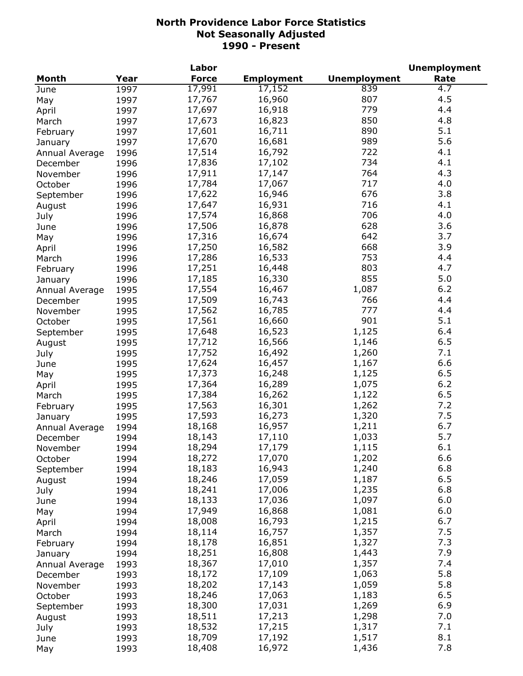|                |      | Labor        |                   |                     | <b>Unemployment</b> |
|----------------|------|--------------|-------------------|---------------------|---------------------|
| Month          | Year | <b>Force</b> | <b>Employment</b> | <b>Unemployment</b> | Rate                |
| June           | 1997 | 17,991       | 17,152            | 839                 | $\overline{4.7}$    |
| May            | 1997 | 17,767       | 16,960            | 807                 | 4.5                 |
| April          | 1997 | 17,697       | 16,918            | 779                 | 4.4                 |
| March          | 1997 | 17,673       | 16,823            | 850                 | 4.8                 |
| February       | 1997 | 17,601       | 16,711            | 890                 | 5.1                 |
| January        | 1997 | 17,670       | 16,681            | 989                 | 5.6                 |
| Annual Average | 1996 | 17,514       | 16,792            | 722                 | 4.1                 |
| December       | 1996 | 17,836       | 17,102            | 734                 | 4.1                 |
| November       | 1996 | 17,911       | 17,147            | 764                 | 4.3                 |
| October        | 1996 | 17,784       | 17,067            | 717                 | 4.0                 |
| September      | 1996 | 17,622       | 16,946            | 676                 | 3.8                 |
|                | 1996 | 17,647       | 16,931            | 716                 | 4.1                 |
| August         |      | 17,574       | 16,868            | 706                 | 4.0                 |
| July           | 1996 |              |                   | 628                 | 3.6                 |
| June           | 1996 | 17,506       | 16,878            | 642                 | 3.7                 |
| May            | 1996 | 17,316       | 16,674            |                     |                     |
| April          | 1996 | 17,250       | 16,582            | 668                 | 3.9                 |
| March          | 1996 | 17,286       | 16,533            | 753                 | 4.4                 |
| February       | 1996 | 17,251       | 16,448            | 803                 | 4.7                 |
| January        | 1996 | 17,185       | 16,330            | 855                 | 5.0                 |
| Annual Average | 1995 | 17,554       | 16,467            | 1,087               | 6.2                 |
| December       | 1995 | 17,509       | 16,743            | 766                 | 4.4                 |
| November       | 1995 | 17,562       | 16,785            | 777                 | 4.4                 |
| October        | 1995 | 17,561       | 16,660            | 901                 | 5.1                 |
| September      | 1995 | 17,648       | 16,523            | 1,125               | 6.4                 |
| August         | 1995 | 17,712       | 16,566            | 1,146               | 6.5                 |
| July           | 1995 | 17,752       | 16,492            | 1,260               | 7.1                 |
| June           | 1995 | 17,624       | 16,457            | 1,167               | 6.6                 |
| May            | 1995 | 17,373       | 16,248            | 1,125               | 6.5                 |
| April          | 1995 | 17,364       | 16,289            | 1,075               | $6.2$               |
| March          | 1995 | 17,384       | 16,262            | 1,122               | 6.5                 |
| February       | 1995 | 17,563       | 16,301            | 1,262               | 7.2                 |
| January        | 1995 | 17,593       | 16,273            | 1,320               | 7.5                 |
| Annual Average | 1994 | 18,168       | 16,957            | 1,211               | 6.7                 |
| December       | 1994 | 18,143       | 17,110            | 1,033               | 5.7                 |
| November       | 1994 | 18,294       | 17,179            | 1,115               | 6.1                 |
| October        | 1994 | 18,272       | 17,070            | 1,202               | 6.6                 |
| September      | 1994 | 18,183       | 16,943            | 1,240               | 6.8                 |
|                | 1994 | 18,246       | 17,059            | 1,187               | 6.5                 |
| August         |      | 18,241       | 17,006            | 1,235               | 6.8                 |
| July           | 1994 | 18,133       | 17,036            | 1,097               | 6.0                 |
| June           | 1994 | 17,949       | 16,868            | 1,081               | 6.0                 |
| May            | 1994 |              |                   |                     | 6.7                 |
| April          | 1994 | 18,008       | 16,793            | 1,215               |                     |
| March          | 1994 | 18,114       | 16,757            | 1,357               | 7.5                 |
| February       | 1994 | 18,178       | 16,851            | 1,327               | 7.3                 |
| January        | 1994 | 18,251       | 16,808            | 1,443               | 7.9                 |
| Annual Average | 1993 | 18,367       | 17,010            | 1,357               | 7.4                 |
| December       | 1993 | 18,172       | 17,109            | 1,063               | 5.8                 |
| November       | 1993 | 18,202       | 17,143            | 1,059               | 5.8                 |
| October        | 1993 | 18,246       | 17,063            | 1,183               | 6.5                 |
| September      | 1993 | 18,300       | 17,031            | 1,269               | 6.9                 |
| August         | 1993 | 18,511       | 17,213            | 1,298               | 7.0                 |
| July           | 1993 | 18,532       | 17,215            | 1,317               | 7.1                 |
| June           | 1993 | 18,709       | 17,192            | 1,517               | 8.1                 |
| May            | 1993 | 18,408       | 16,972            | 1,436               | 7.8                 |